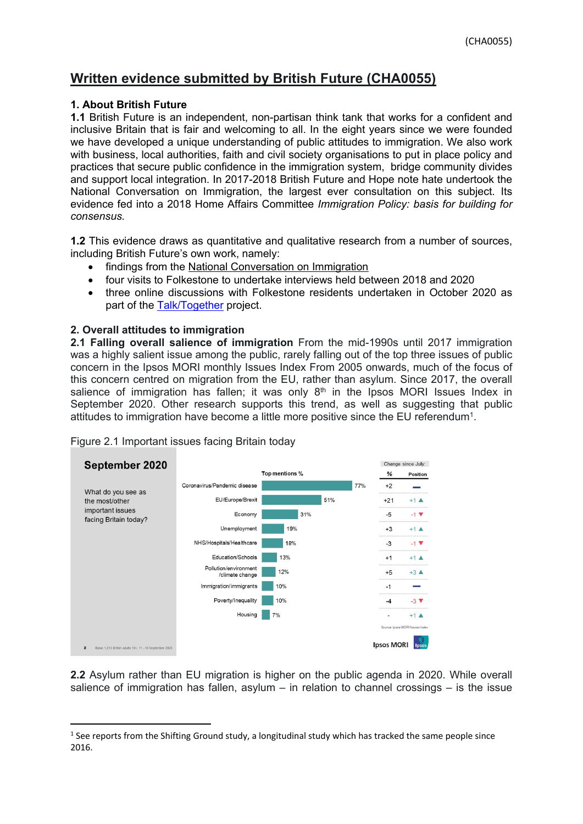## **Written evidence submitted by British Future (CHA0055)**

## **1. About British Future**

**1.1** British Future is an independent, non-partisan think tank that works for a confident and inclusive Britain that is fair and welcoming to all. In the eight years since we were founded we have developed a unique understanding of public attitudes to immigration. We also work with business, local authorities, faith and civil society organisations to put in place policy and practices that secure public confidence in the immigration system, bridge community divides and support local integration. In 2017-2018 British Future and Hope note hate undertook the National Conversation on Immigration, the largest ever consultation on this subject. Its evidence fed into a 2018 Home Affairs Committee *Immigration Policy: basis for building for consensus.*

**1.2** This evidence draws as quantitative and qualitative research from a number of sources, including British Future's own work, namely:

- findings from the [National](http://www.britishfuture.org/wp-content/uploads/2018/09/Final-report.National-Conversation.17.9.18.pdf) [Conversation](http://www.britishfuture.org/wp-content/uploads/2018/09/Final-report.National-Conversation.17.9.18.pdf) [on](http://www.britishfuture.org/wp-content/uploads/2018/09/Final-report.National-Conversation.17.9.18.pdf) [Immigration](http://www.britishfuture.org/wp-content/uploads/2018/09/Final-report.National-Conversation.17.9.18.pdf)
- four visits to Folkestone to undertake interviews held between 2018 and 2020
- three online discussions with Folkestone residents undertaken in October 2020 as part of the [Talk/Together](https://www.britishfuture.org/rashford-and-refugees-discussed-as-south-east-talks-together/) project.

## **2. Overall attitudes to immigration**

**2.1 Falling overall salience of immigration** From the mid-1990s until 2017 immigration was a highly salient issue among the public, rarely falling out of the top three issues of public concern in the Ipsos MORI monthly Issues Index From 2005 onwards, much of the focus of this concern centred on migration from the EU, rather than asylum. Since 2017, the overall salience of immigration has fallen; it was only  $8<sup>th</sup>$  in the Ipsos MORI Issues Index in September 2020. Other research supports this trend, as well as suggesting that public attitudes to immigration have become a little more positive since the EU referendum<sup>1</sup>.



Figure 2.1 Important issues facing Britain today

**2.2** Asylum rather than EU migration is higher on the public agenda in 2020. While overall salience of immigration has fallen, asylum – in relation to channel crossings – is the issue

 $1$  See reports from the Shifting Ground study, a longitudinal study which has tracked the same people since 2016.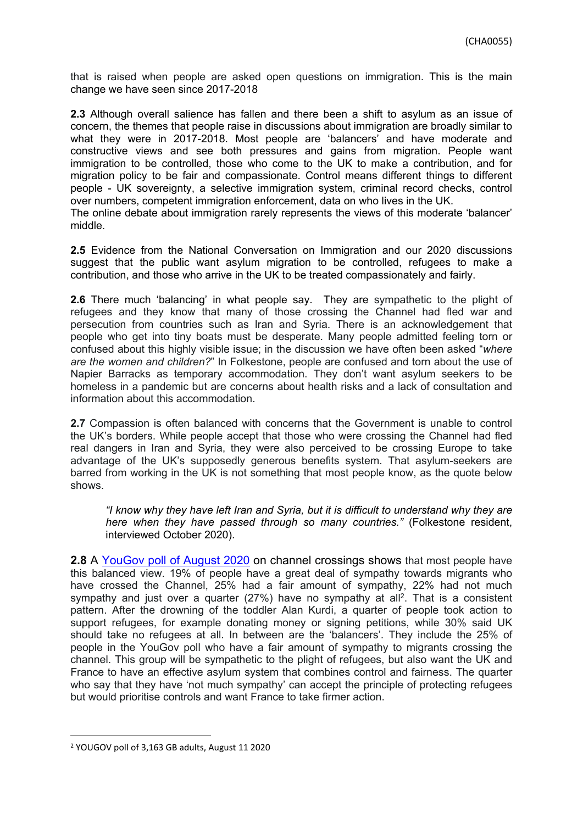that is raised when people are asked open questions on immigration. This is the main change we have seen since 2017-2018

**2.3** Although overall salience has fallen and there been a shift to asylum as an issue of concern, the themes that people raise in discussions about immigration are broadly similar to what they were in 2017-2018. Most people are 'balancers' and have moderate and constructive views and see both pressures and gains from migration. People want immigration to be controlled, those who come to the UK to make a contribution, and for migration policy to be fair and compassionate. Control means different things to different people - UK sovereignty, a selective immigration system, criminal record checks, control over numbers, competent immigration enforcement, data on who lives in the UK.

The online debate about immigration rarely represents the views of this moderate 'balancer' middle.

**2.5** Evidence from the National Conversation on Immigration and our 2020 discussions suggest that the public want asylum migration to be controlled, refugees to make a contribution, and those who arrive in the UK to be treated compassionately and fairly.

**2.6** There much 'balancing' in what people say. They are sympathetic to the plight of refugees and they know that many of those crossing the Channel had fled war and persecution from countries such as Iran and Syria. There is an acknowledgement that people who get into tiny boats must be desperate. Many people admitted feeling torn or confused about this highly visible issue; in the discussion we have often been asked "*where are the women and children?*" In Folkestone, people are confused and torn about the use of Napier Barracks as temporary accommodation. They don't want asylum seekers to be homeless in a pandemic but are concerns about health risks and a lack of consultation and information about this accommodation.

**2.7** Compassion is often balanced with concerns that the Government is unable to control the UK's borders. While people accept that those who were crossing the Channel had fled real dangers in Iran and Syria, they were also perceived to be crossing Europe to take advantage of the UK's supposedly generous benefits system. That asylum-seekers are barred from working in the UK is not something that most people know, as the quote below shows.

*"I know why they have left Iran and Syria, but it is difficult to understand why they are here when they have passed through so many countries."* (Folkestone resident, interviewed October 2020).

**2.8** A [YouGov](https://yougov.co.uk/topics/politics/survey-results/daily/2020/08/11/f4dc7/1) [poll](https://yougov.co.uk/topics/politics/survey-results/daily/2020/08/11/f4dc7/1) [of](https://yougov.co.uk/topics/politics/survey-results/daily/2020/08/11/f4dc7/1) [August](https://yougov.co.uk/topics/politics/survey-results/daily/2020/08/11/f4dc7/1) [2020](https://yougov.co.uk/topics/politics/survey-results/daily/2020/08/11/f4dc7/1) on channel crossings shows that most people have this balanced view. 19% of people have a great deal of sympathy towards migrants who have crossed the Channel, 25% had a fair amount of sympathy, 22% had not much sympathy and just over a quarter (27%) have no sympathy at all<sup>2</sup>. That is a consistent pattern. After the drowning of the toddler Alan Kurdi, a quarter of people took action to support refugees, for example donating money or signing petitions, while 30% said UK should take no refugees at all. In between are the 'balancers'. They include the 25% of people in the YouGov poll who have a fair amount of sympathy to migrants crossing the channel. This group will be sympathetic to the plight of refugees, but also want the UK and France to have an effective asylum system that combines control and fairness. The quarter who say that they have 'not much sympathy' can accept the principle of protecting refugees but would prioritise controls and want France to take firmer action.

<sup>2</sup> YOUGOV poll of 3,163 GB adults, August 11 2020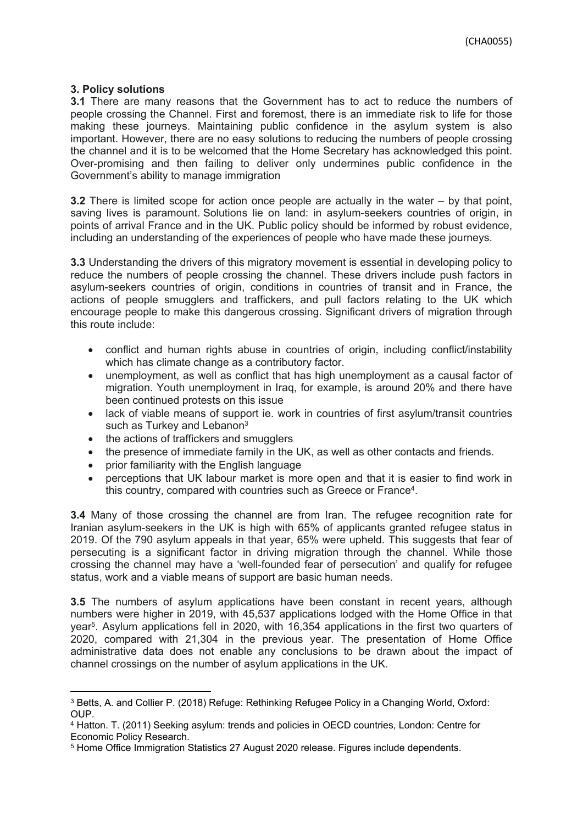## **3. Policy solutions**

**3.1** There are many reasons that the Government has to act to reduce the numbers of people crossing the Channel. First and foremost, there is an immediate risk to life for those making these journeys. Maintaining public confidence in the asylum system is also important. However, there are no easy solutions to reducing the numbers of people crossing the channel and it is to be welcomed that the Home Secretary has acknowledged this point. Over-promising and then failing to deliver only undermines public confidence in the Government's ability to manage immigration

**3.2** There is limited scope for action once people are actually in the water – by that point, saving lives is paramount. Solutions lie on land: in asylum-seekers countries of origin, in points of arrival France and in the UK. Public policy should be informed by robust evidence, including an understanding of the experiences of people who have made these journeys.

**3.3** Understanding the drivers of this migratory movement is essential in developing policy to reduce the numbers of people crossing the channel. These drivers include push factors in asylum-seekers countries of origin, conditions in countries of transit and in France, the actions of people smugglers and traffickers, and pull factors relating to the UK which encourage people to make this dangerous crossing. Significant drivers of migration through this route include:

- conflict and human rights abuse in countries of origin, including conflict/instability which has climate change as a contributory factor.
- unemployment, as well as conflict that has high unemployment as a causal factor of migration. Youth unemployment in Iraq, for example, is around 20% and there have been continued protests on this issue
- lack of viable means of support ie, work in countries of first asylum/transit countries such as Turkey and Lebanon<sup>3</sup>
- the actions of traffickers and smugglers
- the presence of immediate family in the UK, as well as other contacts and friends.
- prior familiarity with the English language
- perceptions that UK labour market is more open and that it is easier to find work in this country, compared with countries such as Greece or France<sup>4</sup>.

**3.4** Many of those crossing the channel are from Iran. The refugee recognition rate for Iranian asylum-seekers in the UK is high with 65% of applicants granted refugee status in 2019. Of the 790 asylum appeals in that year, 65% were upheld. This suggests that fear of persecuting is a significant factor in driving migration through the channel. While those crossing the channel may have a 'well-founded fear of persecution' and qualify for refugee status, work and a viable means of support are basic human needs.

**3.5** The numbers of asylum applications have been constant in recent years, although numbers were higher in 2019, with 45,537 applications lodged with the Home Office in that year<sup>5</sup>. Asylum applications fell in 2020, with 16,354 applications in the first two quarters of 2020, compared with 21,304 in the previous year. The presentation of Home Office administrative data does not enable any conclusions to be drawn about the impact of channel crossings on the number of asylum applications in the UK.

<sup>3</sup> Betts, A. and Collier P. (2018) Refuge: Rethinking Refugee Policy in a Changing World, Oxford: OUP.

<sup>4</sup> Hatton. T. (2011) Seeking asylum: trends and policies in OECD countries, London: Centre for Economic Policy Research.

<sup>5</sup> Home Office Immigration Statistics 27 August 2020 release. Figures include dependents.